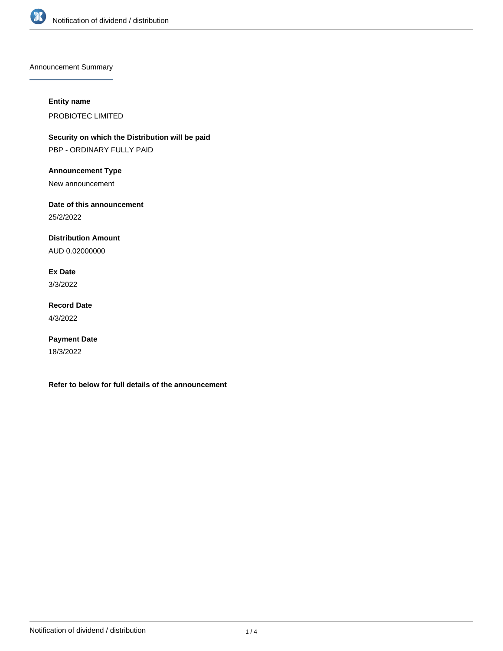

Announcement Summary

## **Entity name**

PROBIOTEC LIMITED

**Security on which the Distribution will be paid** PBP - ORDINARY FULLY PAID

**Announcement Type**

New announcement

**Date of this announcement**

25/2/2022

**Distribution Amount**

AUD 0.02000000

**Ex Date** 3/3/2022

**Record Date**

4/3/2022

**Payment Date** 18/3/2022

**Refer to below for full details of the announcement**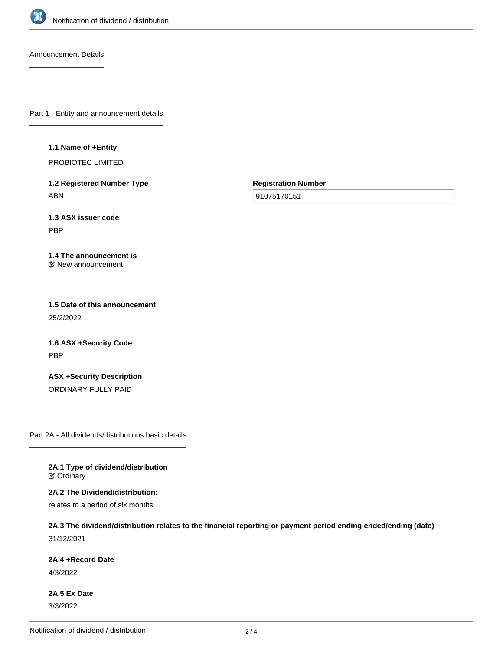

Announcement Details

Part 1 - Entity and announcement details

**1.1 Name of +Entity**

PROBIOTEC LIMITED

**1.2 Registered Number Type** ABN

**Registration Number**

91075170151

**1.3 ASX issuer code** PBP

**1.4 The announcement is** New announcement

**1.5 Date of this announcement** 25/2/2022

**1.6 ASX +Security Code** PBP

**ASX +Security Description** ORDINARY FULLY PAID

Part 2A - All dividends/distributions basic details

**2A.1 Type of dividend/distribution C** Ordinary

**2A.2 The Dividend/distribution:**

relates to a period of six months

**2A.3 The dividend/distribution relates to the financial reporting or payment period ending ended/ending (date)** 31/12/2021

**2A.4 +Record Date**

4/3/2022

**2A.5 Ex Date** 3/3/2022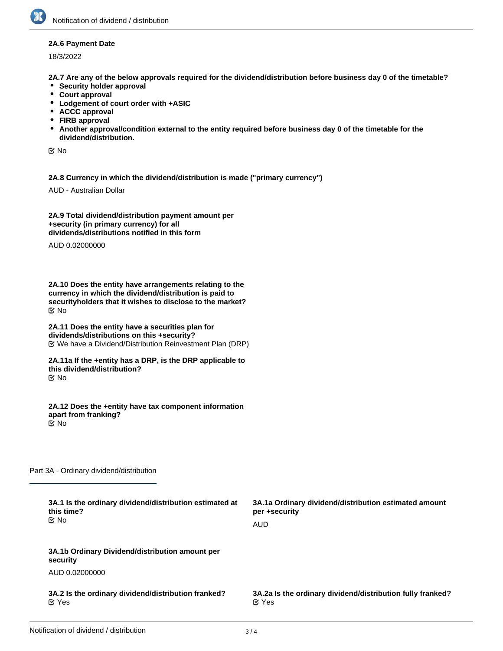## **2A.6 Payment Date**

18/3/2022

**2A.7 Are any of the below approvals required for the dividend/distribution before business day 0 of the timetable?**

- **•** Security holder approval
- **Court approval**
- **Lodgement of court order with +ASIC**
- **ACCC approval**
- **FIRB approval**
- **Another approval/condition external to the entity required before business day 0 of the timetable for the dividend/distribution.**

No

**2A.8 Currency in which the dividend/distribution is made ("primary currency")**

AUD - Australian Dollar

**2A.9 Total dividend/distribution payment amount per +security (in primary currency) for all dividends/distributions notified in this form**

AUD 0.02000000

**2A.10 Does the entity have arrangements relating to the currency in which the dividend/distribution is paid to securityholders that it wishes to disclose to the market?** No

**2A.11 Does the entity have a securities plan for dividends/distributions on this +security?** We have a Dividend/Distribution Reinvestment Plan (DRP)

**2A.11a If the +entity has a DRP, is the DRP applicable to this dividend/distribution?** No

**2A.12 Does the +entity have tax component information apart from franking?** No

Part 3A - Ordinary dividend/distribution

| 3A.1 Is the ordinary dividend/distribution estimated at<br>this time?<br>় No | 3A.1a Ordinary dividend/distribution estimated amount<br>per +security<br><b>AUD</b> |
|-------------------------------------------------------------------------------|--------------------------------------------------------------------------------------|
| 3A.1b Ordinary Dividend/distribution amount per<br>security                   |                                                                                      |
| AUD 0.02000000                                                                |                                                                                      |
| 3A.2 Is the ordinary dividend/distribution franked?<br>$\alpha$ Yes           | 3A.2a Is the ordinary dividend/distribution fully franked?<br>$\alpha$ Yes           |